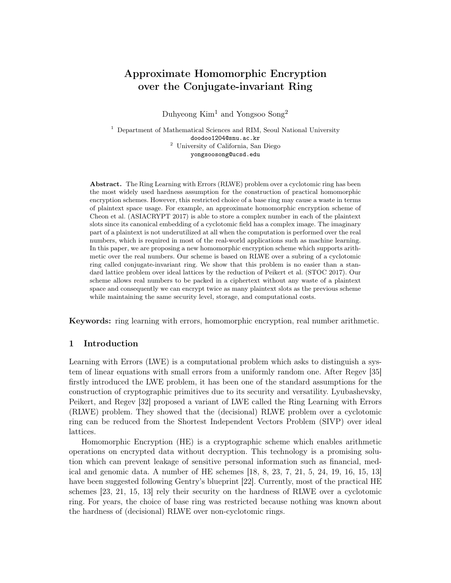# Approximate Homomorphic Encryption over the Conjugate-invariant Ring

Duhyeong  $Kim<sup>1</sup>$  and Yongsoo Song<sup>2</sup>

<sup>1</sup> Department of Mathematical Sciences and RIM, Seoul National University doodoo1204@snu.ac.kr <sup>2</sup> University of California, San Diego yongsoosong@ucsd.edu

Abstract. The Ring Learning with Errors (RLWE) problem over a cyclotomic ring has been the most widely used hardness assumption for the construction of practical homomorphic encryption schemes. However, this restricted choice of a base ring may cause a waste in terms of plaintext space usage. For example, an approximate homomorphic encryption scheme of Cheon et al. (ASIACRYPT 2017) is able to store a complex number in each of the plaintext slots since its canonical embedding of a cyclotomic field has a complex image. The imaginary part of a plaintext is not underutilized at all when the computation is performed over the real numbers, which is required in most of the real-world applications such as machine learning. In this paper, we are proposing a new homomorphic encryption scheme which supports arithmetic over the real numbers. Our scheme is based on RLWE over a subring of a cyclotomic ring called conjugate-invariant ring. We show that this problem is no easier than a standard lattice problem over ideal lattices by the reduction of Peikert et al. (STOC 2017). Our scheme allows real numbers to be packed in a ciphertext without any waste of a plaintext space and consequently we can encrypt twice as many plaintext slots as the previous scheme while maintaining the same security level, storage, and computational costs.

Keywords: ring learning with errors, homomorphic encryption, real number arithmetic.

## 1 Introduction

Learning with Errors (LWE) is a computational problem which asks to distinguish a system of linear equations with small errors from a uniformly random one. After Regev [35] firstly introduced the LWE problem, it has been one of the standard assumptions for the construction of cryptographic primitives due to its security and versatility. Lyubashevsky, Peikert, and Regev [32] proposed a variant of LWE called the Ring Learning with Errors (RLWE) problem. They showed that the (decisional) RLWE problem over a cyclotomic ring can be reduced from the Shortest Independent Vectors Problem (SIVP) over ideal lattices.

Homomorphic Encryption (HE) is a cryptographic scheme which enables arithmetic operations on encrypted data without decryption. This technology is a promising solution which can prevent leakage of sensitive personal information such as financial, medical and genomic data. A number of HE schemes [18, 8, 23, 7, 21, 5, 24, 19, 16, 15, 13] have been suggested following Gentry's blueprint [22]. Currently, most of the practical HE schemes [23, 21, 15, 13] rely their security on the hardness of RLWE over a cyclotomic ring. For years, the choice of base ring was restricted because nothing was known about the hardness of (decisional) RLWE over non-cyclotomic rings.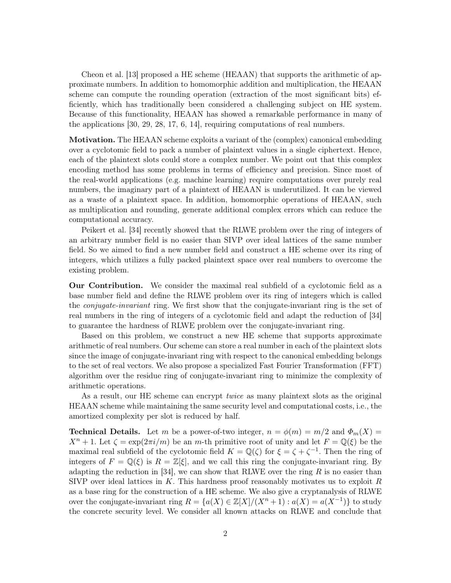Cheon et al. [13] proposed a HE scheme (HEAAN) that supports the arithmetic of approximate numbers. In addition to homomorphic addition and multiplication, the HEAAN scheme can compute the rounding operation (extraction of the most significant bits) efficiently, which has traditionally been considered a challenging subject on HE system. Because of this functionality, HEAAN has showed a remarkable performance in many of the applications [30, 29, 28, 17, 6, 14], requiring computations of real numbers.

Motivation. The HEAAN scheme exploits a variant of the (complex) canonical embedding over a cyclotomic field to pack a number of plaintext values in a single ciphertext. Hence, each of the plaintext slots could store a complex number. We point out that this complex encoding method has some problems in terms of efficiency and precision. Since most of the real-world applications (e.g. machine learning) require computations over purely real numbers, the imaginary part of a plaintext of HEAAN is underutilized. It can be viewed as a waste of a plaintext space. In addition, homomorphic operations of HEAAN, such as multiplication and rounding, generate additional complex errors which can reduce the computational accuracy.

Peikert et al. [34] recently showed that the RLWE problem over the ring of integers of an arbitrary number field is no easier than SIVP over ideal lattices of the same number field. So we aimed to find a new number field and construct a HE scheme over its ring of integers, which utilizes a fully packed plaintext space over real numbers to overcome the existing problem.

Our Contribution. We consider the maximal real subfield of a cyclotomic field as a base number field and define the RLWE problem over its ring of integers which is called the *conjugate-invariant* ring. We first show that the conjugate-invariant ring is the set of real numbers in the ring of integers of a cyclotomic field and adapt the reduction of [34] to guarantee the hardness of RLWE problem over the conjugate-invariant ring.

Based on this problem, we construct a new HE scheme that supports approximate arithmetic of real numbers. Our scheme can store a real number in each of the plaintext slots since the image of conjugate-invariant ring with respect to the canonical embedding belongs to the set of real vectors. We also propose a specialized Fast Fourier Transformation (FFT) algorithm over the residue ring of conjugate-invariant ring to minimize the complexity of arithmetic operations.

As a result, our HE scheme can encrypt twice as many plaintext slots as the original HEAAN scheme while maintaining the same security level and computational costs, i.e., the amortized complexity per slot is reduced by half.

**Technical Details.** Let m be a power-of-two integer,  $n = \phi(m) = m/2$  and  $\Phi_m(X) =$  $X^{n} + 1$ . Let  $\zeta = \exp(2\pi i/m)$  be an m-th primitive root of unity and let  $F = \mathbb{Q}(\xi)$  be the maximal real subfield of the cyclotomic field  $K = \mathbb{Q}(\zeta)$  for  $\xi = \zeta + \zeta^{-1}$ . Then the ring of integers of  $F = \mathbb{Q}(\xi)$  is  $R = \mathbb{Z}[\xi]$ , and we call this ring the conjugate-invariant ring. By adapting the reduction in [34], we can show that RLWE over the ring R is no easier than SIVP over ideal lattices in  $K$ . This hardness proof reasonably motivates us to exploit  $R$ as a base ring for the construction of a HE scheme. We also give a cryptanalysis of RLWE over the conjugate-invariant ring  $R = \{a(X) \in \mathbb{Z}[X]/(X^n + 1) : a(X) = a(X^{-1})\}$  to study the concrete security level. We consider all known attacks on RLWE and conclude that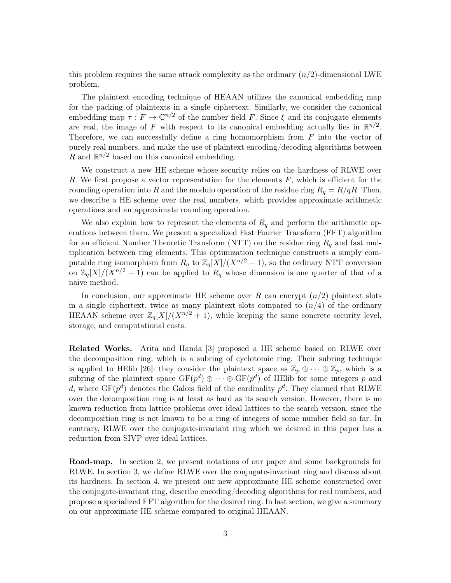this problem requires the same attack complexity as the ordinary  $(n/2)$ -dimensional LWE problem.

The plaintext encoding technique of HEAAN utilizes the canonical embedding map for the packing of plaintexts in a single ciphertext. Similarly, we consider the canonical embedding map  $\tau : F \to \mathbb{C}^{n/2}$  of the number field F. Since  $\xi$  and its conjugate elements are real, the image of F with respect to its canonical embedding actually lies in  $\mathbb{R}^{n/2}$ . Therefore, we can successfully define a ring homomorphism from  $F$  into the vector of purely real numbers, and make the use of plaintext encoding/decoding algorithms between R and  $\mathbb{R}^{n/2}$  based on this canonical embedding.

We construct a new HE scheme whose security relies on the hardness of RLWE over R. We first propose a vector representation for the elements  $F$ , which is efficient for the rounding operation into R and the modulo operation of the residue ring  $R_q = R/qR$ . Then, we describe a HE scheme over the real numbers, which provides approximate arithmetic operations and an approximate rounding operation.

We also explain how to represent the elements of  $R_q$  and perform the arithmetic operations between them. We present a specialized Fast Fourier Transform (FFT) algorithm for an efficient Number Theoretic Transform (NTT) on the residue ring  $R<sub>q</sub>$  and fast multiplication between ring elements. This optimization technique constructs a simply computable ring isomorphism from  $R_q$  to  $\mathbb{Z}_q[X]/(X^{n/2}-1)$ , so the ordinary NTT conversion on  $\mathbb{Z}_q[X]/(X^{n/2}-1)$  can be applied to  $R_q$  whose dimension is one quarter of that of a naive method.

In conclusion, our approximate HE scheme over R can encrypt  $(n/2)$  plaintext slots in a single ciphertext, twice as many plaintext slots compared to  $(n/4)$  of the ordinary HEAAN scheme over  $\mathbb{Z}_q[X]/(X^{n/2}+1)$ , while keeping the same concrete security level, storage, and computational costs.

Related Works. Arita and Handa [3] proposed a HE scheme based on RLWE over the decomposition ring, which is a subring of cyclotomic ring. Their subring technique is applied to HElib [26]: they consider the plaintext space as  $\mathbb{Z}_p \oplus \cdots \oplus \mathbb{Z}_p$ , which is a subring of the plaintext space  $GF(p^d) \oplus \cdots \oplus GF(p^d)$  of HElib for some integers p and d, where  $GF(p^d)$  denotes the Galois field of the cardinality  $p^d$ . They claimed that RLWE over the decomposition ring is at least as hard as its search version. However, there is no known reduction from lattice problems over ideal lattices to the search version, since the decomposition ring is not known to be a ring of integers of some number field so far. In contrary, RLWE over the conjugate-invariant ring which we desired in this paper has a reduction from SIVP over ideal lattices.

**Road-map.** In section 2, we present notations of our paper and some backgrounds for RLWE. In section 3, we define RLWE over the conjugate-invariant ring and discuss about its hardness. In section 4, we present our new approximate HE scheme constructed over the conjugate-invariant ring, describe encoding/decoding algorithms for real numbers, and propose a specialized FFT algorithm for the desired ring. In last section, we give a summary on our approximate HE scheme compared to original HEAAN.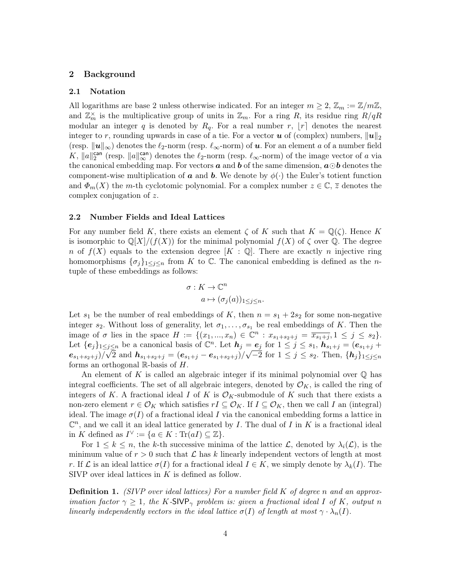## 2 Background

#### 2.1 Notation

All logarithms are base 2 unless otherwise indicated. For an integer  $m \geq 2$ ,  $\mathbb{Z}_m := \mathbb{Z}/m\mathbb{Z}$ , and  $\mathbb{Z}_m^{\times}$  is the multiplicative group of units in  $\mathbb{Z}_m$ . For a ring R, its residue ring  $R/qR$ modular an integer q is denoted by  $R_q$ . For a real number r,  $\lfloor r \rfloor$  denotes the nearest integer to r, rounding upwards in case of a tie. For a vector  $u$  of (complex) numbers,  $||u||_2$ (resp.  $\|\boldsymbol{u}\|_{\infty}$ ) denotes the  $\ell_2$ -norm (resp.  $\ell_{\infty}$ -norm) of **u**. For an element a of a number field K,  $||a||_2^{\text{can}}$  (resp.  $||a||_{\infty}^{\text{can}}$ ) denotes the  $\ell_2$ -norm (resp.  $\ell_{\infty}$ -norm) of the image vector of a via the canonical embedding map. For vectors  $\boldsymbol{a}$  and  $\boldsymbol{b}$  of the same dimension,  $\boldsymbol{a} \odot \boldsymbol{b}$  denotes the component-wise multiplication of **a** and **b**. We denote by  $\phi(\cdot)$  the Euler's totient function and  $\Phi_m(X)$  the m-th cyclotomic polynomial. For a complex number  $z \in \mathbb{C}$ ,  $\overline{z}$  denotes the complex conjugation of z.

#### 2.2 Number Fields and Ideal Lattices

For any number field K, there exists an element  $\zeta$  of K such that  $K = \mathbb{Q}(\zeta)$ . Hence K is isomorphic to  $\mathbb{Q}[X]/(f(X))$  for the minimal polynomial  $f(X)$  of  $\zeta$  over  $\mathbb{Q}$ . The degree n of  $f(X)$  equals to the extension degree  $[K : \mathbb{Q}]$ . There are exactly n injective ring homomorphisms  $\{\sigma_i\}_{1\leq i\leq n}$  from K to C. The canonical embedding is defined as the ntuple of these embeddings as follows:

$$
\sigma: K \to \mathbb{C}^n
$$

$$
a \mapsto (\sigma_j(a))_{1 \le j \le n}.
$$

Let  $s_1$  be the number of real embeddings of K, then  $n = s_1 + 2s_2$  for some non-negative integer  $s_2$ . Without loss of generality, let  $\sigma_1, \ldots, \sigma_{s_1}$  be real embeddings of K. Then the image of  $\sigma$  lies in the space  $H := \{(x_1, ..., x_n) \in \mathbb{C}^n : x_{s_1+s_2+j} = \overline{x_{s_1+j}}, 1 \leq j \leq s_2\}.$ Let  $\{e_j\}_{1\leq j\leq n}$  be a canonical basis of  $\mathbb{C}^n$ . Let  $h_j = e_j$  for  $1 \leq j \leq s_1$ ,  $h_{s_1+j} = (e_{s_1+j} + \dots + e_{s_n+j})$  $e_{s_1+s_2+j})/\sqrt{2}$  and  $h_{s_1+s_2+j} = (e_{s_1+j}-e_{s_1+s_2+j})/\sqrt{-2}$  for  $1 \leq j \leq s_2$ . Then,  $\{h_j\}_{1 \leq j \leq n}$ forms an orthogonal  $\mathbb R$ -basis of  $H$ .

An element of K is called an algebraic integer if its minimal polynomial over  $\mathbb Q$  has integral coefficients. The set of all algebraic integers, denoted by  $\mathcal{O}_K$ , is called the ring of integers of K. A fractional ideal I of K is  $\mathcal{O}_K$ -submodule of K such that there exists a non-zero element  $r \in \mathcal{O}_K$  which satisfies  $rI \subseteq \mathcal{O}_K$ . If  $I \subseteq \mathcal{O}_K$ , then we call I an (integral) ideal. The image  $\sigma(I)$  of a fractional ideal I via the canonical embedding forms a lattice in  $\mathbb{C}^n$ , and we call it an ideal lattice generated by I. The dual of I in K is a fractional ideal in K defined as  $I^{\vee} := \{a \in K : \text{Tr}(aI) \subseteq \mathbb{Z}\}.$ 

For  $1 \leq k \leq n$ , the k-th successive minima of the lattice  $\mathcal{L}$ , denoted by  $\lambda_i(\mathcal{L})$ , is the minimum value of  $r > 0$  such that  $\mathcal L$  has k linearly independent vectors of length at most r. If  $\mathcal L$  is an ideal lattice  $\sigma(I)$  for a fractional ideal  $I \in K$ , we simply denote by  $\lambda_k(I)$ . The SIVP over ideal lattices in  $K$  is defined as follow.

**Definition 1.** (SIVP over ideal lattices) For a number field  $K$  of degree n and an approximation factor  $\gamma \geq 1$ , the K-SIVP<sub> $\gamma$ </sub> problem is: given a fractional ideal I of K, output n linearly independently vectors in the ideal lattice  $\sigma(I)$  of length at most  $\gamma \cdot \lambda_n(I)$ .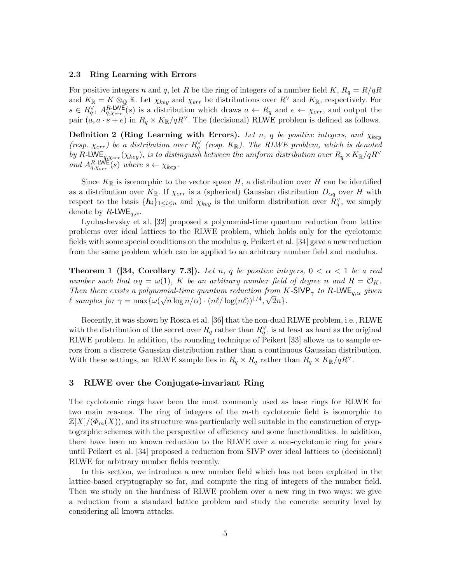# 2.3 Ring Learning with Errors

For positive integers n and q, let R be the ring of integers of a number field K,  $R_q = R/qR$ and  $K_{\mathbb{R}} = K \otimes_{\mathbb{Q}} \mathbb{R}$ . Let  $\chi_{key}$  and  $\chi_{err}$  be distributions over  $R^{\vee}$  and  $K_{\mathbb{R}}$ , respectively. For  $s \in R_q^{\vee}$ ,  $A_{q,\chi_{err}}^{R\text{-LWE}}(s)$  is a distribution which draws  $a \leftarrow R_q$  and  $e \leftarrow \chi_{err}$ , and output the pair  $(a, a \cdot s + e)$  in  $R_q \times K_{\mathbb{R}}/qR^{\vee}$ . The (decisional) RLWE problem is defined as follows.

Definition 2 (Ring Learning with Errors). Let n, q be positive integers, and  $\chi_{key}$ (resp.  $\chi_{err}$ ) be a distribution over  $R_q^{\vee}$  (resp.  $K_{\mathbb{R}}$ ). The RLWE problem, which is denoted by R-LWE<sub>q, $\chi_{err}(\chi_{key})$ , is to distinguish between the uniform distribution over  $R_q \times K_{\mathbb{R}}/qR^{\vee}$ </sub> and  $A_{q,\chi_{err}}^{R\text{-LWE}}(s)$  where  $s \leftarrow \chi_{key}$ .

Since  $K_{\mathbb{R}}$  is isomorphic to the vector space H, a distribution over H can be identified as a distribution over  $K_{\mathbb{R}}$ . If  $\chi_{err}$  is a (spherical) Gaussian distribution  $D_{\alpha q}$  over H with respect to the basis  $\{\mathbf{h}_i\}_{1\leq i\leq n}$  and  $\chi_{key}$  is the uniform distribution over  $R_q^{\vee}$ , we simply denote by  $R$ -LWE<sub> $q,\alpha$ </sub>.

Lyubashevsky et al. [32] proposed a polynomial-time quantum reduction from lattice problems over ideal lattices to the RLWE problem, which holds only for the cyclotomic fields with some special conditions on the modulus q. Peikert et al. [34] gave a new reduction from the same problem which can be applied to an arbitrary number field and modulus.

**Theorem 1 ([34, Corollary 7.3]).** Let n, q be positive integers,  $0 < \alpha < 1$  be a real number such that  $\alpha q = \omega(1)$ , K be an arbitrary number field of degree n and  $R = \mathcal{O}_K$ . Then there exists a polynomial-time quantum reduction from  $K$ -SIVP<sub> $\gamma$ </sub> to  $R$ -LWE<sub>q, $\alpha$ </sub> given  $\ell$  samples for  $\gamma = \max{\{\omega(\sqrt{n \log n}/\alpha) \cdot (n\ell/\log(n\ell))^{1/4}, \sqrt{2}n\}}$ .

Recently, it was shown by Rosca et al. [36] that the non-dual RLWE problem, i.e., RLWE with the distribution of the secret over  $R_q$  rather than  $R_q^{\vee}$ , is at least as hard as the original RLWE problem. In addition, the rounding technique of Peikert [33] allows us to sample errors from a discrete Gaussian distribution rather than a continuous Gaussian distribution. With these settings, an RLWE sample lies in  $R_q \times R_q$  rather than  $R_q \times K_{\mathbb{R}}/qR^{\vee}$ .

# 3 RLWE over the Conjugate-invariant Ring

The cyclotomic rings have been the most commonly used as base rings for RLWE for two main reasons. The ring of integers of the m-th cyclotomic field is isomorphic to  $\mathbb{Z}[X]/(\Phi_m(X))$ , and its structure was particularly well suitable in the construction of cryptographic schemes with the perspective of efficiency and some functionalities. In addition, there have been no known reduction to the RLWE over a non-cyclotomic ring for years until Peikert et al. [34] proposed a reduction from SIVP over ideal lattices to (decisional) RLWE for arbitrary number fields recently.

In this section, we introduce a new number field which has not been exploited in the lattice-based cryptography so far, and compute the ring of integers of the number field. Then we study on the hardness of RLWE problem over a new ring in two ways: we give a reduction from a standard lattice problem and study the concrete security level by considering all known attacks.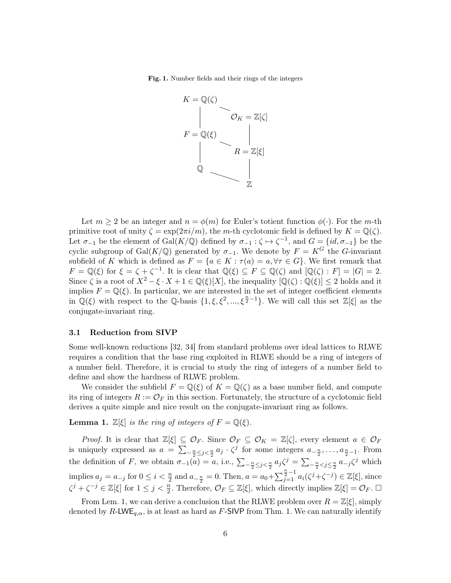Fig. 1. Number fields and their rings of the integers



Let  $m \geq 2$  be an integer and  $n = \phi(m)$  for Euler's totient function  $\phi(\cdot)$ . For the m-th primitive root of unity  $\zeta = \exp(2\pi i/m)$ , the m-th cyclotomic field is defined by  $K = \mathbb{Q}(\zeta)$ . Let  $\sigma_{-1}$  be the element of Gal(K/Q) defined by  $\sigma_{-1}$  :  $\zeta \mapsto \zeta^{-1}$ , and  $G = \{id, \sigma_{-1}\}\$  be the cyclic subgroup of Gal(K/Q) generated by  $\sigma_{-1}$ . We denote by  $F = K^G$  the G-invariant subfield of K which is defined as  $F = \{a \in K : \tau(a) = a, \forall \tau \in G\}$ . We first remark that  $F = \mathbb{Q}(\xi)$  for  $\xi = \zeta + \zeta^{-1}$ . It is clear that  $\mathbb{Q}(\xi) \subseteq F \subseteq \mathbb{Q}(\zeta)$  and  $[\mathbb{Q}(\zeta) : F] = |G| = 2$ . Since  $\zeta$  is a root of  $X^2 - \xi \cdot X + 1 \in \mathbb{Q}(\xi)[X]$ , the inequality  $[\mathbb{Q}(\zeta) : \mathbb{Q}(\xi)] \leq 2$  holds and it implies  $F = \mathbb{Q}(\xi)$ . In particular, we are interested in the set of integer coefficient elements in  $\mathbb{Q}(\xi)$  with respect to the Q-basis  $\{1, \xi, \xi^2, ..., \xi^{\frac{n}{2}-1}\}$ . We will call this set  $\mathbb{Z}[\xi]$  as the conjugate-invariant ring.

## 3.1 Reduction from SIVP

Some well-known reductions [32, 34] from standard problems over ideal lattices to RLWE requires a condition that the base ring exploited in RLWE should be a ring of integers of a number field. Therefore, it is crucial to study the ring of integers of a number field to define and show the hardness of RLWE problem.

We consider the subfield  $F = \mathbb{Q}(\xi)$  of  $K = \mathbb{Q}(\zeta)$  as a base number field, and compute its ring of integers  $R := \mathcal{O}_F$  in this section. Fortunately, the structure of a cyclotomic field derives a quite simple and nice result on the conjugate-invariant ring as follows.

**Lemma 1.**  $\mathbb{Z}[\xi]$  is the ring of integers of  $F = \mathbb{Q}(\xi)$ .

*Proof.* It is clear that  $\mathbb{Z}[\xi] \subseteq \mathcal{O}_F$ . Since  $\mathcal{O}_F \subseteq \mathcal{O}_K = \mathbb{Z}[\zeta]$ , every element  $a \in \mathcal{O}_F$ is uniquely expressed as  $a = \sum_{-\frac{n}{2} \leq j < \frac{n}{2}} a_j \cdot \zeta^j$  for some integers  $a_{-\frac{n}{2}}, \ldots, a_{\frac{n}{2}-1}$ . From the definition of F, we obtain  $\sigma_{-1}(a) = a$ , i.e.,  $\sum_{-\frac{n}{2} \leq j < \frac{n}{2}} a_j \zeta^j = \sum_{-\frac{n}{2} \leq j \leq \frac{n}{2}} a_{-j} \zeta^j$  which implies  $a_j = a_{-j}$  for  $0 \le i < \frac{n}{2}$  and  $a_{-\frac{n}{2}} = 0$ . Then,  $a = a_0 + \sum_{j=1}^{\frac{n}{2}-1} a_i (\zeta^j + \zeta^{-j}) \in \mathbb{Z}[\xi]$ , since  $\zeta^j + \zeta^{-j} \in \mathbb{Z}[\xi]$  for  $1 \leq j < \frac{n}{2}$ . Therefore,  $\mathcal{O}_F \subseteq \mathbb{Z}[\xi]$ , which directly implies  $\mathbb{Z}[\xi] = \mathcal{O}_F$ .  $\Box$ 

From Lem. 1, we can derive a conclusion that the RLWE problem over  $R = \mathbb{Z}[\xi]$ , simply denoted by R-LWE<sub>q, $\alpha$ </sub>, is at least as hard as F-SIVP from Thm. 1. We can naturally identify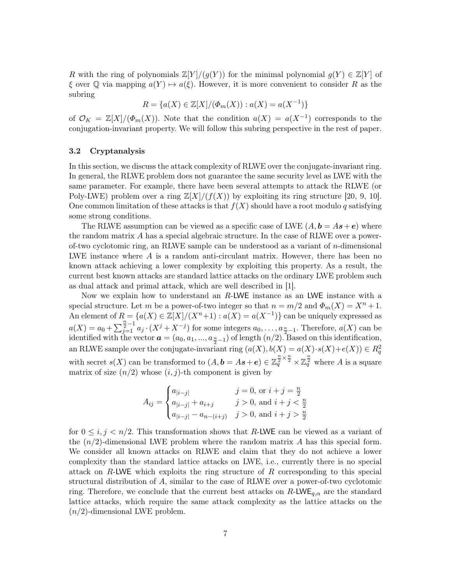R with the ring of polynomials  $\mathbb{Z}[Y]/(q(Y))$  for the minimal polynomial  $q(Y) \in \mathbb{Z}[Y]$  of  $\xi$  over  $\mathbb Q$  via mapping  $a(Y) \mapsto a(\xi)$ . However, it is more convenient to consider R as the subring

$$
R = \{a(X) \in \mathbb{Z}[X]/(\Phi_m(X)) : a(X) = a(X^{-1})\}
$$

of  $\mathcal{O}_K = \mathbb{Z}[X]/(\Phi_m(X))$ . Note that the condition  $a(X) = a(X^{-1})$  corresponds to the conjugation-invariant property. We will follow this subring perspective in the rest of paper.

## 3.2 Cryptanalysis

In this section, we discuss the attack complexity of RLWE over the conjugate-invariant ring. In general, the RLWE problem does not guarantee the same security level as LWE with the same parameter. For example, there have been several attempts to attack the RLWE (or Poly-LWE) problem over a ring  $\mathbb{Z}[X]/(f(X))$  by exploiting its ring structure [20, 9, 10]. One common limitation of these attacks is that  $f(X)$  should have a root modulo q satisfying some strong conditions.

The RLWE assumption can be viewed as a specific case of LWE  $(A, b = As + e)$  where the random matrix A has a special algebraic structure. In the case of RLWE over a powerof-two cyclotomic ring, an RLWE sample can be understood as a variant of n-dimensional LWE instance where A is a random anti-circulant matrix. However, there has been no known attack achieving a lower complexity by exploiting this property. As a result, the current best known attacks are standard lattice attacks on the ordinary LWE problem such as dual attack and primal attack, which are well described in [1].

Now we explain how to understand an R-LWE instance as an LWE instance with a special structure. Let m be a power-of-two integer so that  $n = m/2$  and  $\Phi_m(X) = X^n + 1$ . An element of  $R = \{a(X) \in \mathbb{Z}[X]/(X^n+1) : a(X) = a(X^{-1})\}$  can be uniquely expressed as  $a(X) = a_0 + \sum_{j=1}^{\frac{n}{2}-1} a_j \cdot (X^j + X^{-j})$  for some integers  $a_0, \ldots, a_{\frac{n}{2}-1}$ . Therefore,  $a(X)$  can be identified with the vector  $\boldsymbol{a} = (a_0, a_1, ..., a_{\frac{n}{2}-1})$  of length  $(n/2)$ . Based on this identification, an RLWE sample over the conjugate-invariant ring  $(a(X), b(X) = a(X) \cdot s(X) + e(X)) \in R_q^2$ with secret  $s(X)$  can be transformed to  $(A, \mathbf{b} = A\mathbf{s} + \mathbf{e}) \in \mathbb{Z}_q^{\frac{n}{2} \times \frac{n}{2}} \times \mathbb{Z}_q^{\frac{n}{2}}$  where A is a square matrix of size  $(n/2)$  whose  $(i, j)$ -th component is given by

$$
A_{ij} = \begin{cases} a_{|i-j|} & j = 0, \text{ or } i+j = \frac{n}{2} \\ a_{|i-j|} + a_{i+j} & j > 0, \text{ and } i+j < \frac{n}{2} \\ a_{|i-j|} - a_{n-(i+j)} & j > 0, \text{ and } i+j > \frac{n}{2} \end{cases}
$$

for  $0 \leq i, j \leq n/2$ . This transformation shows that R-LWE can be viewed as a variant of the  $(n/2)$ -dimensional LWE problem where the random matrix A has this special form. We consider all known attacks on RLWE and claim that they do not achieve a lower complexity than the standard lattice attacks on LWE, i.e., currently there is no special attack on R-LWE which exploits the ring structure of R corresponding to this special structural distribution of A, similar to the case of RLWE over a power-of-two cyclotomic ring. Therefore, we conclude that the current best attacks on  $R$ -LWE<sub>q, $\alpha$ </sub> are the standard lattice attacks, which require the same attack complexity as the lattice attacks on the  $(n/2)$ -dimensional LWE problem.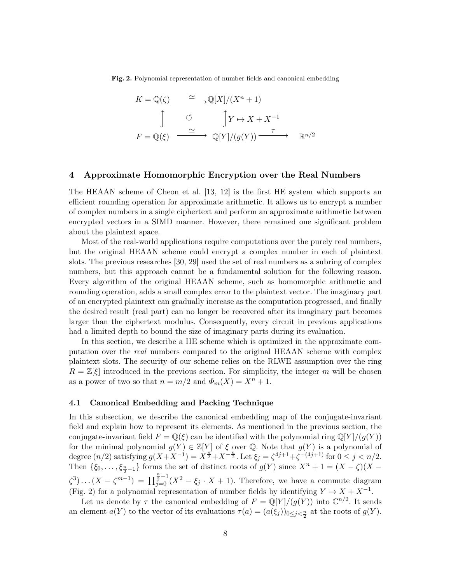Fig. 2. Polynomial representation of number fields and canonical embedding

$$
K = \mathbb{Q}(\zeta) \xrightarrow{\simeq} \mathbb{Q}[X]/(X^n + 1)
$$

$$
\uparrow \qquad \qquad \circ \qquad \qquad \uparrow Y \mapsto X + X^{-1}
$$

$$
F = \mathbb{Q}(\xi) \xrightarrow{\simeq} \mathbb{Q}[Y]/(g(Y)) \xrightarrow{\tau} \qquad \mathbb{R}^{n/2}
$$

#### 4 Approximate Homomorphic Encryption over the Real Numbers

The HEAAN scheme of Cheon et al. [13, 12] is the first HE system which supports an efficient rounding operation for approximate arithmetic. It allows us to encrypt a number of complex numbers in a single ciphertext and perform an approximate arithmetic between encrypted vectors in a SIMD manner. However, there remained one significant problem about the plaintext space.

Most of the real-world applications require computations over the purely real numbers, but the original HEAAN scheme could encrypt a complex number in each of plaintext slots. The previous researches [30, 29] used the set of real numbers as a subring of complex numbers, but this approach cannot be a fundamental solution for the following reason. Every algorithm of the original HEAAN scheme, such as homomorphic arithmetic and rounding operation, adds a small complex error to the plaintext vector. The imaginary part of an encrypted plaintext can gradually increase as the computation progressed, and finally the desired result (real part) can no longer be recovered after its imaginary part becomes larger than the ciphertext modulus. Consequently, every circuit in previous applications had a limited depth to bound the size of imaginary parts during its evaluation.

In this section, we describe a HE scheme which is optimized in the approximate computation over the real numbers compared to the original HEAAN scheme with complex plaintext slots. The security of our scheme relies on the RLWE assumption over the ring  $R = \mathbb{Z}[\xi]$  introduced in the previous section. For simplicity, the integer m will be chosen as a power of two so that  $n = m/2$  and  $\Phi_m(X) = X^n + 1$ .

## 4.1 Canonical Embedding and Packing Technique

In this subsection, we describe the canonical embedding map of the conjugate-invariant field and explain how to represent its elements. As mentioned in the previous section, the conjugate-invariant field  $F = \mathbb{Q}(\xi)$  can be identified with the polynomial ring  $\mathbb{Q}[Y]/(g(Y))$ for the minimal polynomial  $g(Y) \in \mathbb{Z}[Y]$  of  $\xi$  over  $\mathbb{Q}$ . Note that  $g(Y)$  is a polynomial of degree  $(n/2)$  satisfying  $g(X+X^{-1}) = X^{\frac{n^2}{2}}+X^{-\frac{n}{2}}$ . Let  $\xi_j = \zeta^{4j+1}+\zeta^{-(4j+1)}$  for  $0 \le j < n/2$ . Then  $\{\xi_0, \ldots, \xi_{\frac{n}{2}-1}\}\)$  forms the set of distinct roots of  $g(Y)$  since  $X^n + 1 = (X - \zeta)(X - \zeta)$  $\zeta^{3}$ )... $(X-\zeta^{m-1}) = \prod_{j=0}^{\frac{n}{2}-1} (X^{2}-\xi_{j} \cdot X+1)$ . Therefore, we have a commute diagram (Fig. 2) for a polynomial representation of number fields by identifying  $Y \mapsto X + X^{-1}$ .

Let us denote by  $\tau$  the canonical embedding of  $F = \mathbb{Q}[Y]/(g(Y))$  into  $\mathbb{C}^{n/2}$ . It sends an element  $a(Y)$  to the vector of its evaluations  $\tau(a) = (a(\xi_j))_{0 \le j \le \frac{n}{2}}$  at the roots of  $g(Y)$ .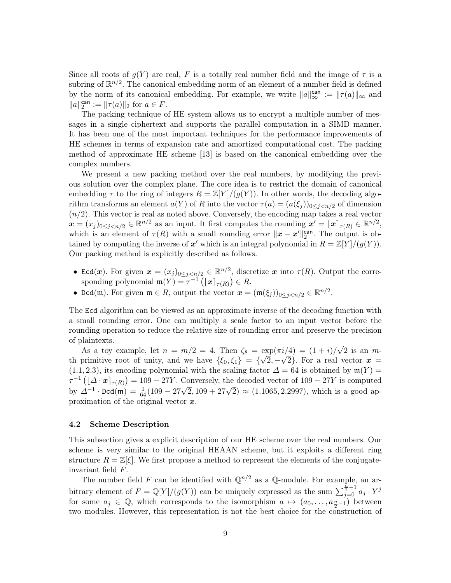Since all roots of  $q(Y)$  are real, F is a totally real number field and the image of  $\tau$  is a subring of  $\mathbb{R}^{n/2}$ . The canonical embedding norm of an element of a number field is defined by the norm of its canonical embedding. For example, we write  $||a||_{\infty}^{\text{can}} := ||\tau(a)||_{\infty}$  and  $||a||_2^{\text{can}} := ||\tau(a)||_2$  for  $a \in F$ .

The packing technique of HE system allows us to encrypt a multiple number of messages in a single ciphertext and supports the parallel computation in a SIMD manner. It has been one of the most important techniques for the performance improvements of HE schemes in terms of expansion rate and amortized computational cost. The packing method of approximate HE scheme [13] is based on the canonical embedding over the complex numbers.

We present a new packing method over the real numbers, by modifying the previous solution over the complex plane. The core idea is to restrict the domain of canonical embedding  $\tau$  to the ring of integers  $R = \mathbb{Z}[Y]/(g(Y))$ . In other words, the decoding algorithm transforms an element  $a(Y)$  of R into the vector  $\tau(a) = (a(\xi_i))_{0 \leq i \leq n/2}$  of dimension  $(n/2)$ . This vector is real as noted above. Conversely, the encoding map takes a real vector  $\boldsymbol{x} = (x_j)_{0 \leq j < n/2} \in \mathbb{R}^{n/2}$  as an input. It first computes the rounding  $\boldsymbol{x}' = \lfloor \boldsymbol{x} \rceil_{\tau(R)} \in \mathbb{R}^{n/2}$ , which is an element of  $\tau(R)$  with a small rounding error  $\|\boldsymbol{x} - \boldsymbol{x}'\|_2^{\text{can}}$ . The output is obtained by computing the inverse of  $x'$  which is an integral polynomial in  $R = \mathbb{Z}[Y]/(g(Y))$ . Our packing method is explicitly described as follows.

- Ecd(x). For given  $x = (x_j)_{0 \leq j < n/2} \in \mathbb{R}^{n/2}$ , discretize x into  $\tau(R)$ . Output the corresponding polynomial  $\mathfrak{m}(Y) = \tau^{-1} \left( \lfloor x \rfloor_{\tau(R)} \right) \in R$ .
- Dcd(m). For given  $\mathfrak{m} \in R$ , output the vector  $\mathbf{x} = (\mathfrak{m}(\xi_j))_{0 \leq j \leq n/2} \in \mathbb{R}^{n/2}$ .

The Ecd algorithm can be viewed as an approximate inverse of the decoding function with a small rounding error. One can multiply a scale factor to an input vector before the rounding operation to reduce the relative size of rounding error and preserve the precision of plaintexts. √

As a toy example, let  $n = m/2 = 4$ . Then  $\zeta_8 = \exp(\pi i/4) = (1 + i)/2$  $\exp(\pi i/4) = (1+i)/\sqrt{2}$  is an mth primitive root of unity, and we have  $\{\xi_0, \xi_1\} = \{\sqrt{2}, -\sqrt{2}\}\.$  For a real vector  $\bm{x} =$ (1.1, 2.3), its encoding polynomial with the scaling factor  $\Delta = 64$  is obtained by  $\mathfrak{m}(Y) =$  $\tau^{-1}\left(\lfloor\Delta \cdot \boldsymbol{x}\rceil_{\tau(R)}\right) = 109 - 27Y$ . Conversely, the decoded vector of  $109 - 27Y$  is computed by  $\Delta^{-1} \cdot \text{Dcd}(\mathfrak{m}) = \frac{1}{64}(109 - 27\sqrt{2}, 109 + 27\sqrt{2}) \approx (1.1065, 2.2997)$ , which is a good approximation of the original vector  $x$ .

## 4.2 Scheme Description

This subsection gives a explicit description of our HE scheme over the real numbers. Our scheme is very similar to the original HEAAN scheme, but it exploits a different ring structure  $R = \mathbb{Z}[\xi]$ . We first propose a method to represent the elements of the conjugateinvariant field F.

The number field F can be identified with  $\mathbb{Q}^{n/2}$  as a  $\mathbb{Q}$ -module. For example, an arbitrary element of  $F = \mathbb{Q}[Y]/(g(Y))$  can be uniquely expressed as the sum  $\sum_{j=0}^{\frac{n}{2}-1} a_j \cdot Y^j$ for some  $a_j \in \mathbb{Q}$ , which corresponds to the isomorphism  $a \mapsto (a_0, \ldots, a_{\frac{n}{2}-1})$  between two modules. However, this representation is not the best choice for the construction of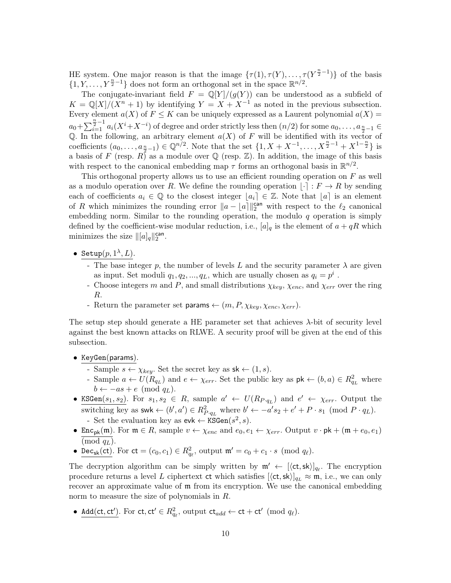HE system. One major reason is that the image  $\{\tau(1), \tau(Y), \ldots, \tau(Y^{\frac{n}{2}-1})\}$  of the basis  $\{1, Y, \ldots, Y^{\frac{n}{2}-1}\}\)$  does not form an orthogonal set in the space  $\mathbb{R}^{n/2}$ .

The conjugate-invariant field  $F = \mathbb{Q}[Y]/(g(Y))$  can be understood as a subfield of  $K = \mathbb{Q}[X]/(X^n + 1)$  by identifying  $Y = X + X^{-1}$  as noted in the previous subsection. Every element  $a(X)$  of  $F \leq K$  can be uniquely expressed as a Laurent polynomial  $a(X)$  $a_0+\sum_{i=1}^{n-1}a_i(X^i+X^{-i})$  of degree and order strictly less then  $(n/2)$  for some  $a_0,\ldots,a_{\frac{n}{2}-1}\in$ Q. In the following, an arbitrary element  $a(X)$  of F will be identified with its vector of coefficients  $(a_0, \ldots, a_{\frac{n}{2}-1}) \in \mathbb{Q}^{n/2}$ . Note that the set  $\{1, X + X^{-1}, \ldots, X^{\frac{n}{2}-1} + X^{1-\frac{n}{2}}\}$  is a basis of F (resp. R) as a module over  $\mathbb Q$  (resp. Z). In addition, the image of this basis with respect to the canonical embedding map  $\tau$  forms an orthogonal basis in  $\mathbb{R}^{n/2}$ .

This orthogonal property allows us to use an efficient rounding operation on F as well as a modulo operation over R. We define the rounding operation  $\lceil \cdot \rceil : F \to R$  by sending each of coefficients  $a_i \in \mathbb{Q}$  to the closest integer  $|a_i| \in \mathbb{Z}$ . Note that  $|a|$  is an element of R which minimizes the rounding error  $||a - \lfloor a \rfloor ||_2^{\text{can}}$  with respect to the  $\ell_2$  canonical embedding norm. Similar to the rounding operation, the modulo  $q$  operation is simply defined by the coefficient-wise modular reduction, i.e.,  $[a]_q$  is the element of  $a + qR$  which minimizes the size  $\Vert [a]_q \Vert_2^{\text{can}}$ .

- Setup $(p, 1^{\lambda}, L)$ .
	- The base integer p, the number of levels L and the security parameter  $\lambda$  are given as input. Set moduli  $q_1, q_2, ..., q_L$ , which are usually chosen as  $q_i = p^i$ .
	- Choose integers m and P, and small distributions  $\chi_{key}$ ,  $\chi_{enc}$ , and  $\chi_{err}$  over the ring R.
	- Return the parameter set params  $\leftarrow$   $(m, P, \chi_{kev}, \chi_{enc}, \chi_{err})$ .

The setup step should generate a HE parameter set that achieves  $\lambda$ -bit of security level against the best known attacks on RLWE. A security proof will be given at the end of this subsection.

- KeyGen(params).
	- Sample  $s \leftarrow \chi_{key}$ . Set the secret key as  $sk \leftarrow (1, s)$ .
	- Sample  $a \leftarrow U(R_{q_L})$  and  $e \leftarrow \chi_{err}$ . Set the public key as  $pk \leftarrow (b, a) \in R_{q_L}^2$  where  $b \leftarrow -as + e \pmod{q_L}.$
- KSGen( $s_1, s_2$ ). For  $s_1, s_2 \in R$ , sample  $a' \leftarrow U(R_{P \cdot q_L})$  and  $e' \leftarrow \chi_{err}$ . Output the switching key as  $\mathsf{swk} \leftarrow (b', a') \in R_{P \cdot q_L}^2$  where  $b' \leftarrow -a's_2 + e' + P \cdot s_1 \pmod{P \cdot q_L}$ . - Set the evaluation key as  $\mathsf{evk} \leftarrow \mathsf{KSGen}(s^2, s)$ .
- Enc<sub>pk</sub>(m). For  $m \in R$ , sample  $v \leftarrow \chi_{enc}$  and  $e_0, e_1 \leftarrow \chi_{err}$ . Output  $v \cdot pk + (m + e_0, e_1)$  $\pmod{q_L}$ .
- Dec<sub>sk</sub>(ct). For  $ct = (c_0, c_1) \in R_{q_\ell}^2$ , output  $\mathfrak{m}' = c_0 + c_1 \cdot s \pmod{q_\ell}$ .

The decryption algorithm can be simply written by  $\mathfrak{m}' \leftarrow [\langle ct, sk \rangle]_{q_\ell}$ . The encryption procedure returns a level L ciphertext ct which satisfies  $[\langle ct, sk \rangle]_{q_L} \approx \mathfrak{m}$ , i.e., we can only recover an approximate value of m from its encryption. We use the canonical embedding norm to measure the size of polynomials in R.

•  $\text{Add}(\text{ct}, \text{ct}')$ . For  $\text{ct}, \text{ct}' \in R_{q_\ell}^2$ , output  $\text{ct}_{add} \leftarrow \text{ct} + \text{ct}' \pmod{q_\ell}$ .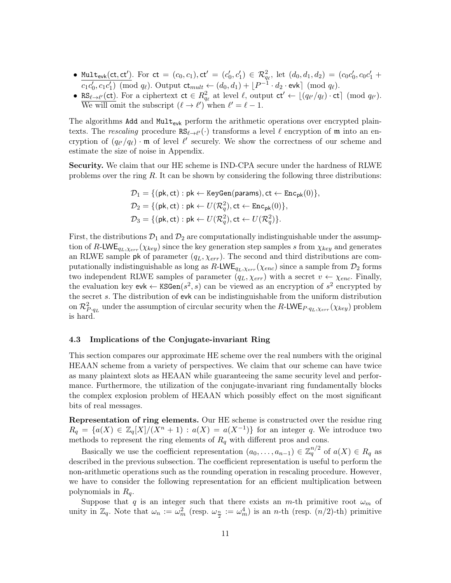- <u>Mult<sub>evk</sub>(ct, ct'</u>). For  $ct = (c_0, c_1)$ ,  $ct' = (c'_0, c'_1) \in \mathcal{R}_{q_\ell}^2$ , let  $(d_0, d_1, d_2) = (c_0c'_0, c_0c'_1 +$  $c_1c'_0, c_1c'_1$  (mod  $q_\ell$ ). Output  $ct_{mult} \leftarrow (d_0, d_1) + \lfloor P^{-1} \cdot d_2 \cdot \text{evk} \rfloor \pmod{q_\ell}$ .
- **RS**<sub> $\ell \rightarrow \ell'$ </sub> (ct). For a ciphertext ct  $\in R_{q_{\ell}}^2$  at level  $\ell$ , output  $ct' \leftarrow \lfloor (q_{\ell'}/q_{\ell}) \cdot ct \rfloor \pmod{q_{\ell'}}$ . We will omit the subscript  $(\ell \to \ell')$  when  $\ell' = \ell - 1$ .

The algorithms Add and Mult<sub>evk</sub> perform the arithmetic operations over encrypted plaintexts. The rescaling procedure  $RS_{\ell \to \ell'}(\cdot)$  transforms a level  $\ell$  encryption of m into an encryption of  $(q_{\ell'}/q_{\ell}) \cdot \mathfrak{m}$  of level  $\ell'$  securely. We show the correctness of our scheme and estimate the size of noise in Appendix.

Security. We claim that our HE scheme is IND-CPA secure under the hardness of RLWE problems over the ring R. It can be shown by considering the following three distributions:

$$
\mathcal{D}_1 = \{ (\mathsf{pk}, \mathsf{ct}) : \mathsf{pk} \leftarrow \text{KeyGen}(\text{params}), \mathsf{ct} \leftarrow \text{Enc}_{\mathsf{pk}}(0) \},
$$
\n
$$
\mathcal{D}_2 = \{ (\mathsf{pk}, \mathsf{ct}) : \mathsf{pk} \leftarrow U(\mathcal{R}_q^2), \mathsf{ct} \leftarrow \text{Enc}_{\mathsf{pk}}(0) \},
$$
\n
$$
\mathcal{D}_3 = \{ (\mathsf{pk}, \mathsf{ct}) : \mathsf{pk} \leftarrow U(\mathcal{R}_q^2), \mathsf{ct} \leftarrow U(\mathcal{R}_q^2) \}.
$$

First, the distributions  $\mathcal{D}_1$  and  $\mathcal{D}_2$  are computationally indistinguishable under the assumption of R-LWE<sub>q<sub>L, Xerr</sub> ( $\chi_{key}$ ) since the key generation step samples s from  $\chi_{key}$  and generates</sub> an RLWE sample pk of parameter  $(q_L, \chi_{err})$ . The second and third distributions are computationally indistinguishable as long as  $R$ -LWE $_{q_L,\chi_{err}}(\chi_{enc})$  since a sample from  $\mathcal{D}_2$  forms two independent RLWE samples of parameter  $(q_L, \chi_{err})$  with a secret  $v \leftarrow \chi_{enc}$ . Finally, the evaluation key  $evk \leftarrow KSGen(s^2, s)$  can be viewed as an encryption of  $s^2$  encrypted by the secret s. The distribution of evk can be indistinguishable from the uniform distribution on  $\mathcal{R}_{P \cdot q_L}^2$  under the assumption of circular security when the R-LWE<sub>P</sub>· $_{q_L, \chi_{err}}(\chi_{key})$  problem is hard.

#### 4.3 Implications of the Conjugate-invariant Ring

This section compares our approximate HE scheme over the real numbers with the original HEAAN scheme from a variety of perspectives. We claim that our scheme can have twice as many plaintext slots as HEAAN while guaranteeing the same security level and performance. Furthermore, the utilization of the conjugate-invariant ring fundamentally blocks the complex explosion problem of HEAAN which possibly effect on the most significant bits of real messages.

Representation of ring elements. Our HE scheme is constructed over the residue ring  $R_q = \{a(X) \in \mathbb{Z}_q[X]/(X^n + 1) : a(X) = a(X^{-1})\}$  for an integer q. We introduce two methods to represent the ring elements of  $R<sub>q</sub>$  with different pros and cons.

Basically we use the coefficient representation  $(a_0, \ldots, a_{n-1}) \in \mathbb{Z}_q^{n/2}$  of  $a(X) \in R_q$  as described in the previous subsection. The coefficient representation is useful to perform the non-arithmetic operations such as the rounding operation in rescaling procedure. However, we have to consider the following representation for an efficient multiplication between polynomials in  $R_q$ .

Suppose that q is an integer such that there exists an m-th primitive root  $\omega_m$  of unity in  $\mathbb{Z}_q$ . Note that  $\omega_n := \omega_m^2$  (resp.  $\omega_{\frac{n}{2}} := \omega_m^4$ ) is an *n*-th (resp.  $(n/2)$ -th) primitive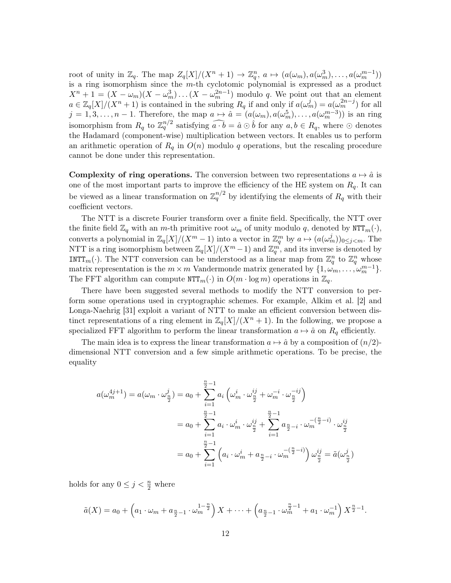root of unity in  $\mathbb{Z}_q$ . The map  $Z_q[X]/(X^n+1) \to \mathbb{Z}_q^n$ ,  $a \mapsto (a(\omega_m), a(\omega_m^3), \dots, a(\omega_m^{m-1}))$ is a ring isomorphism since the m-th cyclotomic polynomial is expressed as a product  $X^{n} + 1 = (X - \omega_{m}^{n})(X - \omega_{m}^{3}) \dots (X - \omega_{m}^{2n-1})$  modulo q. We point out that an element  $a \in \mathbb{Z}_q[X]/(X^n+1)$  is contained in the subring  $R_q$  if and only if  $a(\omega_m^j) = a(\omega_m^{2n-j})$  for all  $j = 1, 3, \ldots, n - 1$ . Therefore, the map  $a \mapsto \hat{a} = (a(\omega_m), a(\omega_m^5), \ldots, a(\omega_m^{m-3}))$  is an ring isomorphism from  $R_q$  to  $\mathbb{Z}_q^{n/2}$  satisfying  $\widehat{a \cdot b} = \hat{a} \odot \hat{b}$  for any  $a, b \in R_q$ , where  $\odot$  denotes the Hadamard (component-wise) multiplication between vectors. It enables us to perform an arithmetic operation of  $R_q$  in  $O(n)$  modulo q operations, but the rescaling procedure cannot be done under this representation.

**Complexity of ring operations.** The conversion between two representations  $a \mapsto \hat{a}$  is one of the most important parts to improve the efficiency of the HE system on  $R<sub>q</sub>$ . It can be viewed as a linear transformation on  $\mathbb{Z}_q^{n/2}$  by identifying the elements of  $R_q$  with their coefficient vectors.

The NTT is a discrete Fourier transform over a finite field. Specifically, the NTT over the finite field  $\mathbb{Z}_q$  with an m-th primitive root  $\omega_m$  of unity modulo q, denoted by  $NTT_m(\cdot)$ , converts a polynomial in  $\mathbb{Z}_q[X]/(X^m-1)$  into a vector in  $\mathbb{Z}_q^m$  by  $a \mapsto (a(\omega_m^j))_{0 \leq j < m}$ . The NTT is a ring isomorphism between  $\mathbb{Z}_q[X]/(X^m-1)$  and  $\mathbb{Z}_q^m$ , and its inverse is denoted by INTT<sub>m</sub>(.). The NTT conversion can be understood as a linear map from  $\mathbb{Z}_q^n$  to  $\mathbb{Z}_q^n$  whose matrix representation is the  $m \times m$  Vandermonde matrix generated by  $\{1, \omega_m, \ldots, \omega_m^{m-1}\}.$ The FFT algorithm can compute  $\text{NTT}_m(\cdot)$  in  $O(m \cdot \log m)$  operations in  $\mathbb{Z}_q$ .

There have been suggested several methods to modify the NTT conversion to perform some operations used in cryptographic schemes. For example, Alkim et al. [2] and Longa-Naehrig [31] exploit a variant of NTT to make an efficient conversion between distinct representations of a ring element in  $\mathbb{Z}_q[X]/(X^n + 1)$ . In the following, we propose a specialized FFT algorithm to perform the linear transformation  $a \mapsto \hat{a}$  on  $R_q$  efficiently.

The main idea is to express the linear transformation  $a \mapsto \hat{a}$  by a composition of  $(n/2)$ dimensional NTT conversion and a few simple arithmetic operations. To be precise, the equality

$$
a(\omega_m^{4j+1}) = a(\omega_m \cdot \omega_{\frac{n}{2}}^j) = a_0 + \sum_{i=1}^{\frac{n}{2}-1} a_i \left( \omega_m^i \cdot \omega_{\frac{n}{2}}^{ij} + \omega_m^{-i} \cdot \omega_{\frac{n}{2}}^{-ij} \right)
$$
  
=  $a_0 + \sum_{i=1}^{\frac{n}{2}-1} a_i \cdot \omega_m^i \cdot \omega_{\frac{n}{2}}^{ij} + \sum_{i=1}^{\frac{n}{2}-1} a_{\frac{n}{2}-i} \cdot \omega_m^{-(\frac{n}{2}-i)} \cdot \omega_{\frac{n}{2}}^{ij}$   
=  $a_0 + \sum_{i=1}^{\frac{n}{2}-1} \left( a_i \cdot \omega_m^i + a_{\frac{n}{2}-i} \cdot \omega_m^{-(\frac{n}{2}-i)} \right) \omega_{\frac{n}{2}}^{ij} = \tilde{a}(\omega_{\frac{n}{2}}^j)$ 

holds for any  $0 \leq j < \frac{n}{2}$  where

$$
\tilde{a}(X) = a_0 + \left(a_1 \cdot \omega_m + a_{\frac{n}{2}-1} \cdot \omega_m^{\frac{1-n}{2}}\right)X + \dots + \left(a_{\frac{n}{2}-1} \cdot \omega_m^{\frac{n}{2}-1} + a_1 \cdot \omega_m^{-1}\right)X^{\frac{n}{2}-1}.
$$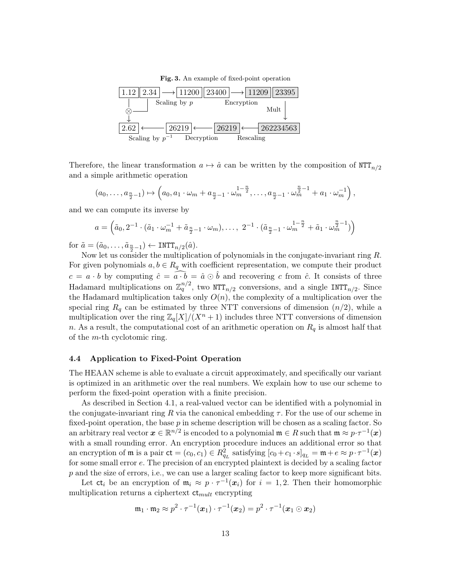

Therefore, the linear transformation  $a \mapsto \hat{a}$  can be written by the composition of NTT<sub>n/2</sub> and a simple arithmetic operation

$$
(a_0, \ldots, a_{\frac{n}{2}-1}) \mapsto \left(a_0, a_1 \cdot \omega_m + a_{\frac{n}{2}-1} \cdot \omega_m^{\frac{1-n}{2}}, \ldots, a_{\frac{n}{2}-1} \cdot \omega_m^{\frac{n}{2}-1} + a_1 \cdot \omega_m^{-1}\right),
$$

and we can compute its inverse by

$$
a = \left(\tilde{a}_0, 2^{-1} \cdot (\tilde{a}_1 \cdot \omega_m^{-1} + \tilde{a}_{\frac{n}{2}-1} \cdot \omega_m), \dots, 2^{-1} \cdot (\tilde{a}_{\frac{n}{2}-1} \cdot \omega_m^{-1} - \tilde{a}_1 \cdot \omega_m^{\frac{n}{2}-1})\right)
$$

for  $\tilde{a} = (\tilde{a}_0, \dots, \tilde{a}_{\frac{n}{2}-1}) \leftarrow \text{INTT}_{n/2}(\hat{a})$ .

Now let us consider the multiplication of polynomials in the conjugate-invariant ring R. For given polynomials  $a, b \in R_q$  with coefficient representation, we compute their product  $c = a \cdot b$  by computing  $\hat{c} = \widehat{a \cdot b} = \hat{a} \odot \hat{b}$  and recovering c from  $\hat{c}$ . It consists of three Hadamard multiplications on  $\mathbb{Z}_q^{n/2}$ , two NTT<sub>n/2</sub> conversions, and a single INTT<sub>n/2</sub>. Since the Hadamard multiplication takes only  $O(n)$ , the complexity of a multiplication over the special ring  $R_q$  can be estimated by three NTT conversions of dimension  $(n/2)$ , while a multiplication over the ring  $\mathbb{Z}_q[X]/(X^n + 1)$  includes three NTT conversions of dimension n. As a result, the computational cost of an arithmetic operation on  $R_q$  is almost half that of the m-th cyclotomic ring.

#### 4.4 Application to Fixed-Point Operation

The HEAAN scheme is able to evaluate a circuit approximately, and specifically our variant is optimized in an arithmetic over the real numbers. We explain how to use our scheme to perform the fixed-point operation with a finite precision.

As described in Section 4.1, a real-valued vector can be identified with a polynomial in the conjugate-invariant ring R via the canonical embedding  $\tau$ . For the use of our scheme in fixed-point operation, the base  $p$  in scheme description will be chosen as a scaling factor. So an arbitrary real vector  $\bm{x} \in \mathbb{R}^{n/2}$  is encoded to a polynomial  $\mathfrak{m} \in R$  such that  $\mathfrak{m} \approx p \cdot \tau^{-1}(\bm{x})$ with a small rounding error. An encryption procedure induces an additional error so that an encryption of  $\mathfrak m$  is a pair  $ct = (c_0, c_1) \in R^2_{q_L}$  satisfying  $[c_0+c_1 \cdot s]_{q_L} = \mathfrak m + e \approx p \cdot \tau^{-1}(\boldsymbol{x})$ for some small error e. The precision of an encrypted plaintext is decided by a scaling factor p and the size of errors, i.e., we can use a larger scaling factor to keep more significant bits.

Let  $ct_i$  be an encryption of  $m_i \approx p \cdot \tau^{-1}(x_i)$  for  $i = 1, 2$ . Then their homomorphic multiplication returns a ciphertext  $ct_{mult}$  encrypting

$$
\mathfrak{m}_1 \cdot \mathfrak{m}_2 \approx p^2 \cdot \tau^{-1}(\boldsymbol{x}_1) \cdot \tau^{-1}(\boldsymbol{x}_2) = p^2 \cdot \tau^{-1}(\boldsymbol{x}_1 \odot \boldsymbol{x}_2)
$$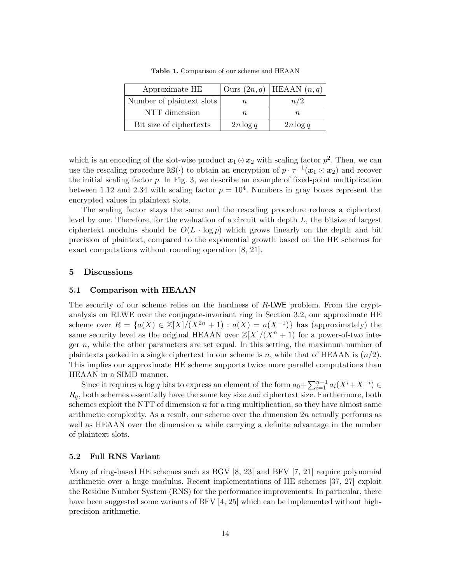| Approximate HE            |             | Ours $(2n,q)$   HEAAN $(n,q)$ |
|---------------------------|-------------|-------------------------------|
| Number of plaintext slots | 'N          | n/2                           |
| NTT dimension             | 'N          |                               |
| Bit size of ciphertexts   | $2n \log q$ | $2n \log q$                   |

Table 1. Comparison of our scheme and HEAAN

which is an encoding of the slot-wise product  $x_1 \odot x_2$  with scaling factor  $p^2$ . Then, we can use the rescaling procedure  $RS(\cdot)$  to obtain an encryption of  $p \cdot \tau^{-1}(\boldsymbol{x}_1 \odot \boldsymbol{x}_2)$  and recover the initial scaling factor  $p$ . In Fig. 3, we describe an example of fixed-point multiplication between 1.12 and 2.34 with scaling factor  $p = 10<sup>4</sup>$ . Numbers in gray boxes represent the encrypted values in plaintext slots.

The scaling factor stays the same and the rescaling procedure reduces a ciphertext level by one. Therefore, for the evaluation of a circuit with depth  $L$ , the bitsize of largest ciphertext modulus should be  $O(L \cdot \log p)$  which grows linearly on the depth and bit precision of plaintext, compared to the exponential growth based on the HE schemes for exact computations without rounding operation [8, 21].

# 5 Discussions

#### 5.1 Comparison with HEAAN

The security of our scheme relies on the hardness of R-LWE problem. From the cryptanalysis on RLWE over the conjugate-invariant ring in Section 3.2, our approximate HE scheme over  $R = \{a(X) \in \mathbb{Z}[X]/(X^{2n} + 1) : a(X) = a(X^{-1})\}$  has (approximately) the same security level as the original HEAAN over  $\mathbb{Z}[X]/(X^n + 1)$  for a power-of-two integer  $n$ , while the other parameters are set equal. In this setting, the maximum number of plaintexts packed in a single ciphertext in our scheme is n, while that of HEAAN is  $(n/2)$ . This implies our approximate HE scheme supports twice more parallel computations than HEAAN in a SIMD manner.

Since it requires  $n \log q$  bits to express an element of the form  $a_0 + \sum_{i=1}^{n-1} a_i (X^i + X^{-i}) \in$  $R_q$ , both schemes essentially have the same key size and ciphertext size. Furthermore, both schemes exploit the NTT of dimension  $n$  for a ring multiplication, so they have almost same arithmetic complexity. As a result, our scheme over the dimension  $2n$  actually performs as well as HEAAN over the dimension  $n$  while carrying a definite advantage in the number of plaintext slots.

# 5.2 Full RNS Variant

Many of ring-based HE schemes such as BGV [8, 23] and BFV [7, 21] require polynomial arithmetic over a huge modulus. Recent implementations of HE schemes [37, 27] exploit the Residue Number System (RNS) for the performance improvements. In particular, there have been suggested some variants of BFV [4, 25] which can be implemented without highprecision arithmetic.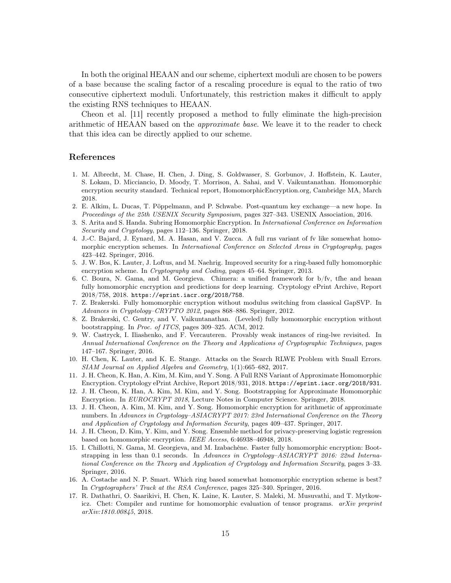In both the original HEAAN and our scheme, ciphertext moduli are chosen to be powers of a base because the scaling factor of a rescaling procedure is equal to the ratio of two consecutive ciphertext moduli. Unfortunately, this restriction makes it difficult to apply the existing RNS techniques to HEAAN.

Cheon et al. [11] recently proposed a method to fully eliminate the high-precision arithmetic of HEAAN based on the approximate base. We leave it to the reader to check that this idea can be directly applied to our scheme.

## References

- 1. M. Albrecht, M. Chase, H. Chen, J. Ding, S. Goldwasser, S. Gorbunov, J. Hoffstein, K. Lauter, S. Lokam, D. Micciancio, D. Moody, T. Morrison, A. Sahai, and V. Vaikuntanathan. Homomorphic encryption security standard. Technical report, HomomorphicEncryption.org, Cambridge MA, March 2018.
- 2. E. Alkim, L. Ducas, T. Pöppelmann, and P. Schwabe. Post-quantum key exchange—a new hope. In Proceedings of the 25th USENIX Security Symposium, pages 327–343. USENIX Association, 2016.
- 3. S. Arita and S. Handa. Subring Homomorphic Encryption. In International Conference on Information Security and Cryptology, pages 112–136. Springer, 2018.
- 4. J.-C. Bajard, J. Eynard, M. A. Hasan, and V. Zucca. A full rns variant of fv like somewhat homomorphic encryption schemes. In *International Conference on Selected Areas in Cryptography*, pages 423–442. Springer, 2016.
- 5. J. W. Bos, K. Lauter, J. Loftus, and M. Naehrig. Improved security for a ring-based fully homomorphic encryption scheme. In Cryptography and Coding, pages 45–64. Springer, 2013.
- 6. C. Boura, N. Gama, and M. Georgieva. Chimera: a unified framework for b/fv, tfhe and heaan fully homomorphic encryption and predictions for deep learning. Cryptology ePrint Archive, Report 2018/758, 2018. https://eprint.iacr.org/2018/758.
- 7. Z. Brakerski. Fully homomorphic encryption without modulus switching from classical GapSVP. In Advances in Cryptology–CRYPTO 2012, pages 868–886. Springer, 2012.
- 8. Z. Brakerski, C. Gentry, and V. Vaikuntanathan. (Leveled) fully homomorphic encryption without bootstrapping. In Proc. of ITCS, pages 309–325. ACM, 2012.
- 9. W. Castryck, I. Iliashenko, and F. Vercauteren. Provably weak instances of ring-lwe revisited. In Annual International Conference on the Theory and Applications of Cryptographic Techniques, pages 147–167. Springer, 2016.
- 10. H. Chen, K. Lauter, and K. E. Stange. Attacks on the Search RLWE Problem with Small Errors. SIAM Journal on Applied Algebra and Geometry, 1(1):665–682, 2017.
- 11. J. H. Cheon, K. Han, A. Kim, M. Kim, and Y. Song. A Full RNS Variant of Approximate Homomorphic Encryption. Cryptology ePrint Archive, Report 2018/931, 2018. https://eprint.iacr.org/2018/931.
- 12. J. H. Cheon, K. Han, A. Kim, M. Kim, and Y. Song. Bootstrapping for Approximate Homomorphic Encryption. In EUROCRYPT 2018, Lecture Notes in Computer Science. Springer, 2018.
- 13. J. H. Cheon, A. Kim, M. Kim, and Y. Song. Homomorphic encryption for arithmetic of approximate numbers. In Advances in Cryptology–ASIACRYPT 2017: 23rd International Conference on the Theory and Application of Cryptology and Information Security, pages 409–437. Springer, 2017.
- 14. J. H. Cheon, D. Kim, Y. Kim, and Y. Song. Ensemble method for privacy-preserving logistic regression based on homomorphic encryption. IEEE Access, 6:46938–46948, 2018.
- 15. I. Chillotti, N. Gama, M. Georgieva, and M. Izabachène. Faster fully homomorphic encryption: Bootstrapping in less than 0.1 seconds. In Advances in Cryptology–ASIACRYPT 2016: 22nd International Conference on the Theory and Application of Cryptology and Information Security, pages 3–33. Springer, 2016.
- 16. A. Costache and N. P. Smart. Which ring based somewhat homomorphic encryption scheme is best? In Cryptographers' Track at the RSA Conference, pages 325–340. Springer, 2016.
- 17. R. Dathathri, O. Saarikivi, H. Chen, K. Laine, K. Lauter, S. Maleki, M. Musuvathi, and T. Mytkowicz. Chet: Compiler and runtime for homomorphic evaluation of tensor programs. arXiv preprint arXiv:1810.00845, 2018.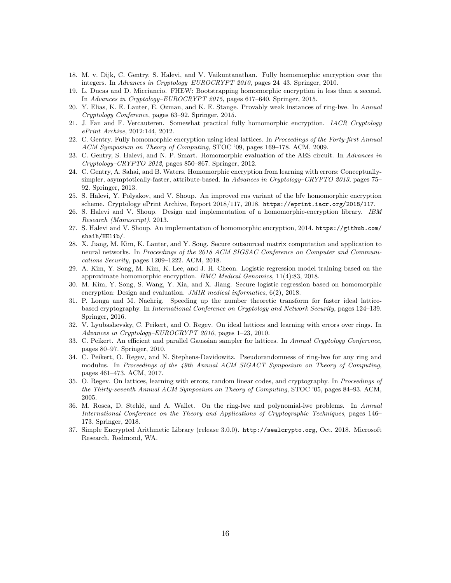- 18. M. v. Dijk, C. Gentry, S. Halevi, and V. Vaikuntanathan. Fully homomorphic encryption over the integers. In Advances in Cryptology–EUROCRYPT 2010, pages 24–43. Springer, 2010.
- 19. L. Ducas and D. Micciancio. FHEW: Bootstrapping homomorphic encryption in less than a second. In Advances in Cryptology–EUROCRYPT 2015, pages 617–640. Springer, 2015.
- 20. Y. Elias, K. E. Lauter, E. Ozman, and K. E. Stange. Provably weak instances of ring-lwe. In Annual Cryptology Conference, pages 63–92. Springer, 2015.
- 21. J. Fan and F. Vercauteren. Somewhat practical fully homomorphic encryption. IACR Cryptology ePrint Archive, 2012:144, 2012.
- 22. C. Gentry. Fully homomorphic encryption using ideal lattices. In Proceedings of the Forty-first Annual ACM Symposium on Theory of Computing, STOC '09, pages 169–178. ACM, 2009.
- 23. C. Gentry, S. Halevi, and N. P. Smart. Homomorphic evaluation of the AES circuit. In Advances in Cryptology–CRYPTO 2012, pages 850–867. Springer, 2012.
- 24. C. Gentry, A. Sahai, and B. Waters. Homomorphic encryption from learning with errors: Conceptuallysimpler, asymptotically-faster, attribute-based. In Advances in Cryptology–CRYPTO 2013, pages 75– 92. Springer, 2013.
- 25. S. Halevi, Y. Polyakov, and V. Shoup. An improved rns variant of the bfv homomorphic encryption scheme. Cryptology ePrint Archive, Report 2018/117, 2018. https://eprint.iacr.org/2018/117.
- 26. S. Halevi and V. Shoup. Design and implementation of a homomorphic-encryption library. IBM Research (Manuscript), 2013.
- 27. S. Halevi and V. Shoup. An implementation of homomorphic encryption, 2014. https://github.com/ shaih/HElib/.
- 28. X. Jiang, M. Kim, K. Lauter, and Y. Song. Secure outsourced matrix computation and application to neural networks. In Proceedings of the 2018 ACM SIGSAC Conference on Computer and Communications Security, pages 1209–1222. ACM, 2018.
- 29. A. Kim, Y. Song, M. Kim, K. Lee, and J. H. Cheon. Logistic regression model training based on the approximate homomorphic encryption. BMC Medical Genomics, 11(4):83, 2018.
- 30. M. Kim, Y. Song, S. Wang, Y. Xia, and X. Jiang. Secure logistic regression based on homomorphic encryption: Design and evaluation. JMIR medical informatics, 6(2), 2018.
- 31. P. Longa and M. Naehrig. Speeding up the number theoretic transform for faster ideal latticebased cryptography. In International Conference on Cryptology and Network Security, pages 124–139. Springer, 2016.
- 32. V. Lyubashevsky, C. Peikert, and O. Regev. On ideal lattices and learning with errors over rings. In Advances in Cryptology–EUROCRYPT 2010, pages 1–23, 2010.
- 33. C. Peikert. An efficient and parallel Gaussian sampler for lattices. In Annual Cryptology Conference, pages 80–97. Springer, 2010.
- 34. C. Peikert, O. Regev, and N. Stephens-Davidowitz. Pseudorandomness of ring-lwe for any ring and modulus. In Proceedings of the 49th Annual ACM SIGACT Symposium on Theory of Computing, pages 461–473. ACM, 2017.
- 35. O. Regev. On lattices, learning with errors, random linear codes, and cryptography. In Proceedings of the Thirty-seventh Annual ACM Symposium on Theory of Computing, STOC '05, pages 84–93. ACM, 2005.
- 36. M. Rosca, D. Stehlé, and A. Wallet. On the ring-lwe and polynomial-lwe problems. In Annual International Conference on the Theory and Applications of Cryptographic Techniques, pages 146– 173. Springer, 2018.
- 37. Simple Encrypted Arithmetic Library (release 3.0.0). http://sealcrypto.org, Oct. 2018. Microsoft Research, Redmond, WA.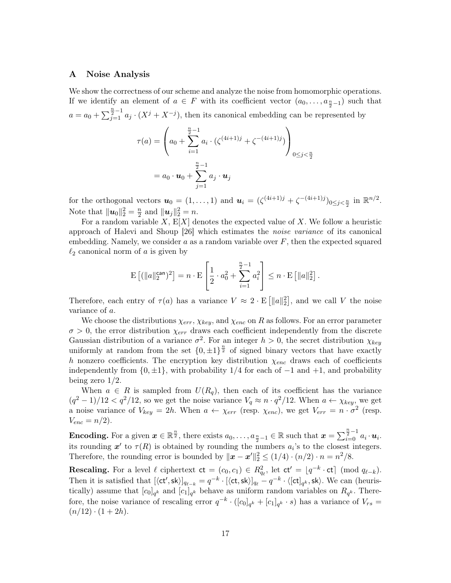# A Noise Analysis

We show the correctness of our scheme and analyze the noise from homomorphic operations. If we identify an element of  $a \in F$  with its coefficient vector  $(a_0, \ldots, a_{\frac{n}{2}-1})$  such that  $a = a_0 + \sum_{j=1}^{\frac{n}{2}-1} a_j \cdot (X^j + X^{-j}),$  then its canonical embedding can be represented by

$$
\tau(a) = \left( a_0 + \sum_{i=1}^{\frac{n}{2}-1} a_i \cdot (\zeta^{(4i+1)j} + \zeta^{-(4i+1)j}) \right)_{0 \le j < \frac{n}{2}}
$$

$$
= a_0 \cdot \mathbf{u}_0 + \sum_{j=1}^{\frac{n}{2}-1} a_j \cdot \mathbf{u}_j
$$

for the orthogonal vectors  $\mathbf{u}_0 = (1, \ldots, 1)$  and  $\mathbf{u}_i = (\zeta^{(4i+1)j} + \zeta^{-(4i+1)j})_{0 \leq j \leq \frac{n}{2}}$  in  $\mathbb{R}^{n/2}$ . Note that  $\|\boldsymbol{u}_0\|_2^2 = \frac{n}{2}$  $\frac{n}{2}$  and  $\|\mathbf{u}_j\|_2^2 = n$ .

For a random variable  $X, E[X]$  denotes the expected value of X. We follow a heuristic approach of Halevi and Shoup [26] which estimates the noise variance of its canonical embedding. Namely, we consider a as a random variable over  $F$ , then the expected squared  $\ell_2$  canonical norm of a is given by

$$
\mathbf{E}\left[ (\|a\|_2^{\text{can}})^2 \right] = n \cdot \mathbf{E}\left[ \frac{1}{2} \cdot a_0^2 + \sum_{i=1}^{\frac{n}{2}-1} a_i^2 \right] \leq n \cdot \mathbf{E}\left[ \|a\|_2^2 \right].
$$

Therefore, each entry of  $\tau(a)$  has a variance  $V \approx 2 \cdot E\left[\|a\|_2^2\right]$ , and we call V the noise variance of a.

We choose the distributions  $\chi_{err}$ ,  $\chi_{key}$ , and  $\chi_{enc}$  on R as follows. For an error parameter  $\sigma > 0$ , the error distribution  $\chi_{err}$  draws each coefficient independently from the discrete Gaussian distribution of a variance  $\sigma^2$ . For an integer  $h > 0$ , the secret distribution  $\chi_{key}$ uniformly at random from the set  $\{0, \pm 1\}^{\frac{n}{2}}$  of signed binary vectors that have exactly h nonzero coefficients. The encryption key distribution  $\chi_{enc}$  draws each of coefficients independently from  $\{0, \pm 1\}$ , with probability 1/4 for each of  $-1$  and  $+1$ , and probability being zero 1/2.

When  $a \in R$  is sampled from  $U(R_q)$ , then each of its coefficient has the variance  $(q^2-1)/12 < q^2/12$ , so we get the noise variance  $V_q \approx n \cdot q^2/12$ . When  $a \leftarrow \chi_{key}$ , we get a noise variance of  $V_{key} = 2h$ . When  $a \leftarrow \chi_{err}$  (resp.  $\chi_{enc}$ ), we get  $V_{err} = n \cdot \sigma^2$  (resp.  $V_{enc} = n/2$ .

**Encoding.** For a given  $\boldsymbol{x} \in \mathbb{R}^{\frac{n}{2}}$ , there exists  $a_0, \ldots, a_{\frac{n}{2}-1} \in \mathbb{R}$  such that  $\boldsymbol{x} = \sum_{i=0}^{\frac{n}{2}-1} a_i \cdot \boldsymbol{u}_i$ . its rounding  $x'$  to  $\tau(R)$  is obtained by rounding the numbers  $a_i$ 's to the closest integers. Therefore, the rounding error is bounded by  $\|\boldsymbol{x} - \boldsymbol{x}'\|_2^2 \leq (1/4) \cdot (n/2) \cdot n = n^2/8$ .

**Rescaling.** For a level  $\ell$  ciphertext  $ct = (c_0, c_1) \in R_{q_\ell}^2$ , let  $ct' = \lfloor q^{-k} \cdot ct \rfloor \pmod{q_{\ell-k}}$ . Then it is satisfied that  $[\langle ct', sk \rangle]_{q_{\ell-k}} = q^{-k} \cdot [\langle ct, sk \rangle]_{q_{\ell}} - q^{-k} \cdot \langle [ct]_{q^k}, sk \rangle$ . We can (heuristically) assume that  $[c_0]_{q^k}$  and  $[c_1]_{q^k}$  behave as uniform random variables on  $R_{q^k}$ . Therefore, the noise variance of rescaling error  $q^{-k} \cdot ([c_0]_{q^k} + [c_1]_{q^k} \cdot s)$  has a variance of  $V_{rs} =$  $(n/12) \cdot (1+2h).$